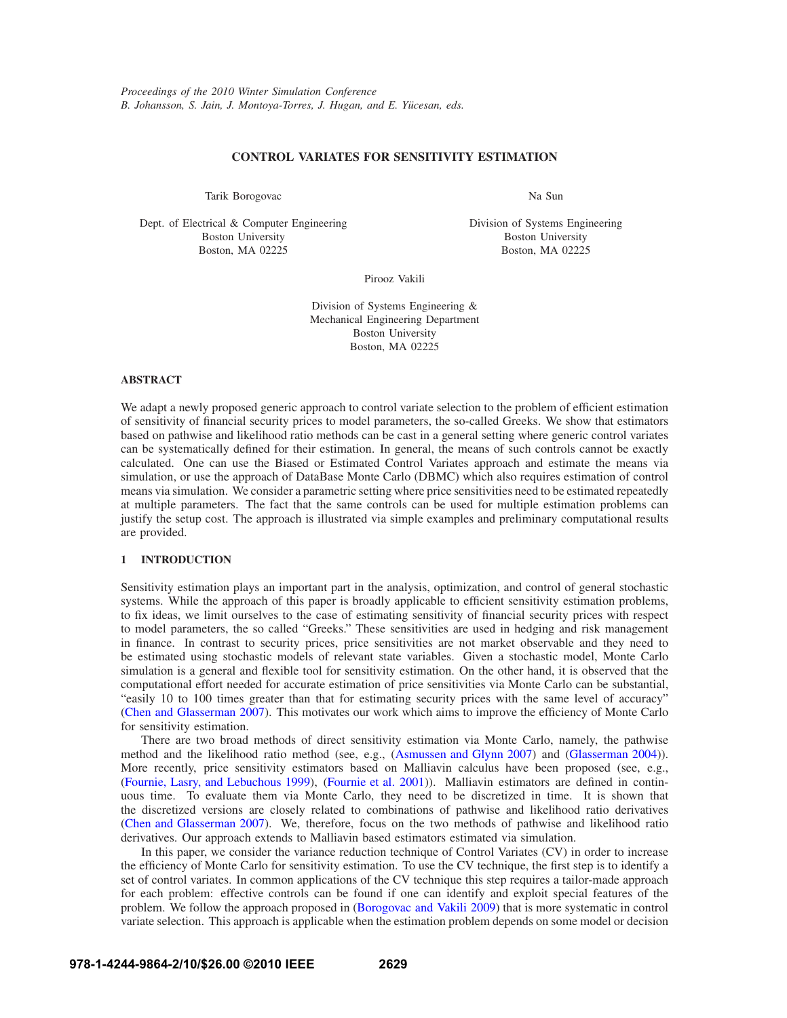# **CONTROL VARIATES FOR SENSITIVITY ESTIMATION**

Tarik Borogovac

Dept. of Electrical & Computer Engineering Boston University Boston, MA 02225

Na Sun

Division of Systems Engineering Boston University Boston, MA 02225

Pirooz Vakili

Division of Systems Engineering & Mechanical Engineering Department Boston University Boston, MA 02225

## **ABSTRACT**

We adapt a newly proposed generic approach to control variate selection to the problem of efficient estimation of sensitivity of financial security prices to model parameters, the so-called Greeks. We show that estimators based on pathwise and likelihood ratio methods can be cast in a general setting where generic control variates can be systematically defined for their estimation. In general, the means of such controls cannot be exactly calculated. One can use the Biased or Estimated Control Variates approach and estimate the means via simulation, or use the approach of DataBase Monte Carlo (DBMC) which also requires estimation of control means via simulation. We consider a parametric setting where price sensitivities need to be estimated repeatedly at multiple parameters. The fact that the same controls can be used for multiple estimation problems can justify the setup cost. The approach is illustrated via simple examples and preliminary computational results are provided.

# **1 INTRODUCTION**

Sensitivity estimation plays an important part in the analysis, optimization, and control of general stochastic systems. While the approach of this paper is broadly applicable to efficient sensitivity estimation problems, to fix ideas, we limit ourselves to the case of estimating sensitivity of financial security prices with respect to model parameters, the so called "Greeks." These sensitivities are used in hedging and risk management in finance. In contrast to security prices, price sensitivities are not market observable and they need to be estimated using stochastic models of relevant state variables. Given a stochastic model, Monte Carlo simulation is a general and flexible tool for sensitivity estimation. On the other hand, it is observed that the computational effort needed for accurate estimation of price sensitivities via Monte Carlo can be substantial, "easily 10 to 100 times greater than that for estimating security prices with the same level of accuracy" (Chen and Glasserman 2007). This motivates our work which aims to improve the efficiency of Monte Carlo for sensitivity estimation.

There are two broad methods of direct sensitivity estimation via Monte Carlo, namely, the pathwise method and the likelihood ratio method (see, e.g., (Asmussen and Glynn 2007) and (Glasserman 2004)). More recently, price sensitivity estimators based on Malliavin calculus have been proposed (see, e.g., (Fournie, Lasry, and Lebuchous 1999), (Fournie et al. 2001)). Malliavin estimators are defined in continuous time. To evaluate them via Monte Carlo, they need to be discretized in time. It is shown that the discretized versions are closely related to combinations of pathwise and likelihood ratio derivatives (Chen and Glasserman 2007). We, therefore, focus on the two methods of pathwise and likelihood ratio derivatives. Our approach extends to Malliavin based estimators estimated via simulation.

In this paper, we consider the variance reduction technique of Control Variates (CV) in order to increase the efficiency of Monte Carlo for sensitivity estimation. To use the CV technique, the first step is to identify a set of control variates. In common applications of the CV technique this step requires a tailor-made approach for each problem: effective controls can be found if one can identify and exploit special features of the problem. We follow the approach proposed in (Borogovac and Vakili 2009) that is more systematic in control variate selection. This approach is applicable when the estimation problem depends on some model or decision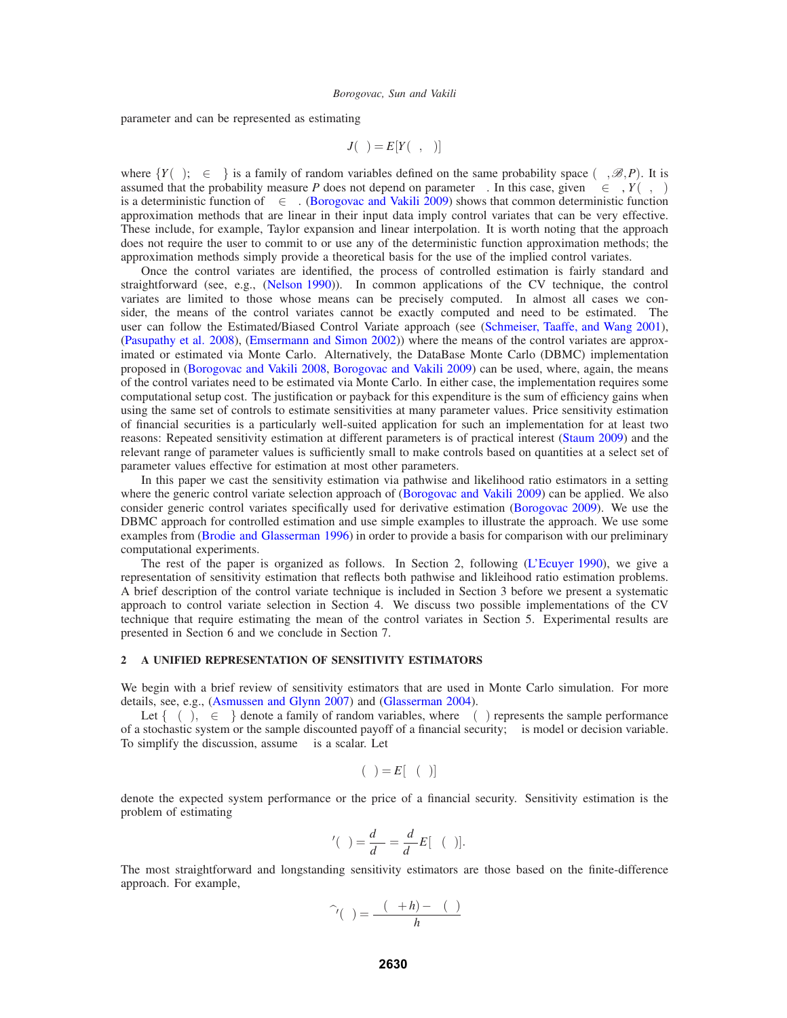parameter and can be represented as estimating

$$
J(\theta) = E[Y(\theta, \omega)]
$$

where  ${Y(\theta), \theta \in \Theta}$  is a family of random variables defined on the same probability space  $(\Omega, \mathcal{B}, P)$ . It is assumed that the probability measure *P* does not depend on parameter  $\theta$ . In this case, given  $\omega \in \Omega$ ,  $Y(\theta, \omega)$ is a deterministic function of  $\theta \in \Theta$ . (Borogovac and Vakili 2009) shows that common deterministic function approximation methods that are linear in their input data imply control variates that can be very effective. These include, for example, Taylor expansion and linear interpolation. It is worth noting that the approach does not require the user to commit to or use any of the deterministic function approximation methods; the approximation methods simply provide a theoretical basis for the use of the implied control variates.

Once the control variates are identified, the process of controlled estimation is fairly standard and straightforward (see, e.g., (Nelson 1990)). In common applications of the CV technique, the control variates are limited to those whose means can be precisely computed. In almost all cases we consider, the means of the control variates cannot be exactly computed and need to be estimated. The user can follow the Estimated/Biased Control Variate approach (see (Schmeiser, Taaffe, and Wang 2001), (Pasupathy et al. 2008), (Emsermann and Simon 2002)) where the means of the control variates are approximated or estimated via Monte Carlo. Alternatively, the DataBase Monte Carlo (DBMC) implementation proposed in (Borogovac and Vakili 2008, Borogovac and Vakili 2009) can be used, where, again, the means of the control variates need to be estimated via Monte Carlo. In either case, the implementation requires some computational setup cost. The justification or payback for this expenditure is the sum of efficiency gains when using the same set of controls to estimate sensitivities at many parameter values. Price sensitivity estimation of financial securities is a particularly well-suited application for such an implementation for at least two reasons: Repeated sensitivity estimation at different parameters is of practical interest (Staum 2009) and the relevant range of parameter values is sufficiently small to make controls based on quantities at a select set of parameter values effective for estimation at most other parameters.

In this paper we cast the sensitivity estimation via pathwise and likelihood ratio estimators in a setting where the generic control variate selection approach of (Borogovac and Vakili 2009) can be applied. We also consider generic control variates specifically used for derivative estimation (Borogovac 2009). We use the DBMC approach for controlled estimation and use simple examples to illustrate the approach. We use some examples from (Brodie and Glasserman 1996) in order to provide a basis for comparison with our preliminary computational experiments.

The rest of the paper is organized as follows. In Section 2, following (L'Ecuyer 1990), we give a representation of sensitivity estimation that reflects both pathwise and likleihood ratio estimation problems. A brief description of the control variate technique is included in Section 3 before we present a systematic approach to control variate selection in Section 4. We discuss two possible implementations of the CV technique that require estimating the mean of the control variates in Section 5. Experimental results are presented in Section 6 and we conclude in Section 7.

## **2 A UNIFIED REPRESENTATION OF SENSITIVITY ESTIMATORS**

We begin with a brief review of sensitivity estimators that are used in Monte Carlo simulation. For more details, see, e.g., (Asmussen and Glynn 2007) and (Glasserman 2004).

Let  $\{\Psi(\theta), \theta \in \Theta\}$  denote a family of random variables, where  $\Psi(\theta)$  represents the sample performance of a stochastic system or the sample discounted payoff of a financial security;  $\theta$  is model or decision variable. To simplify the discussion, assume  $\theta$  is a scalar. Let

$$
\alpha(\theta) = E[\Psi(\theta)]
$$

denote the expected system performance or the price of a financial security. Sensitivity estimation is the problem of estimating

$$
\alpha'(\theta) = \frac{d\alpha}{d\theta} = \frac{d}{d\theta} E[\Psi(\theta)].
$$

The most straightforward and longstanding sensitivity estimators are those based on the finite-difference approach. For example,

$$
\widehat{\alpha}'(\theta) = \frac{\Psi(\theta + h) - \Psi(\theta)}{h}
$$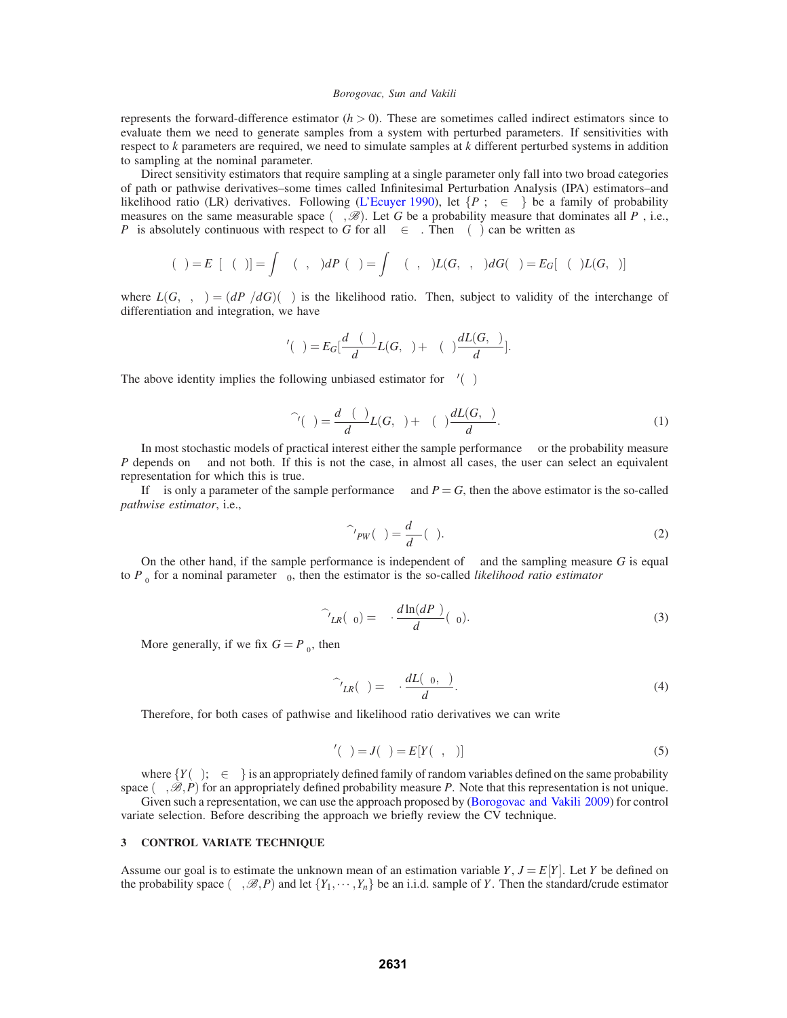represents the forward-difference estimator  $(h > 0)$ . These are sometimes called indirect estimators since to evaluate them we need to generate samples from a system with perturbed parameters. If sensitivities with respect to *k* parameters are required, we need to simulate samples at *k* different perturbed systems in addition to sampling at the nominal parameter.

Direct sensitivity estimators that require sampling at a single parameter only fall into two broad categories of path or pathwise derivatives–some times called Infinitesimal Perturbation Analysis (IPA) estimators–and likelihood ratio (LR) derivatives. Following (L'Ecuyer 1990), let  $\{P_\theta: \theta \in \Theta\}$  be a family of probability measures on the same measurable space  $(\Omega, \mathscr{B})$ . Let *G* be a probability measure that dominates all *P*<sub>θ</sub>, i.e., *P*<sup>θ</sup> is absolutely continuous with respect to *G* for all  $\theta \in \Theta$ . Then  $\alpha(\theta)$  can be written as

$$
\alpha(\theta)=E_{\theta}[\Psi(\theta)]=\int_{\Omega}\Psi(\theta,\omega) dP_{\theta}(\omega)=\int_{\Omega}\Psi(\theta,\omega)L(G,\theta,\omega) dG(\omega)=E_{G}[\Psi(\theta)L(G,\theta)]
$$

where  $L(G, \theta, \omega) = (dP_{\theta}/dG)(\omega)$  is the likelihood ratio. Then, subject to validity of the interchange of differentiation and integration, we have

$$
\alpha'(\theta) = E_G\left[\frac{d\Psi(\theta)}{d\theta}L(G,\theta) + \Psi(\theta)\frac{dL(G,\theta)}{d\theta}\right].
$$

The above identity implies the following unbiased estimator for  $\alpha'(\theta)$ 

$$
\widehat{\alpha}^{\prime}(\theta) = \frac{d\Psi(\theta)}{d\theta}L(G,\theta) + \Psi(\theta)\frac{dL(G,\theta)}{d\theta}.
$$
\n(1)

In most stochastic models of practical interest either the sample performance Ψ or the probability measure *P* depends on  $\theta$  and not both. If this is not the case, in almost all cases, the user can select an equivalent representation for which this is true.

If θ is only a parameter of the sample performance Ψ and  $P = G$ , then the above estimator is the so-called *pathwise estimator*, i.e.,

$$
\widehat{\alpha'}_{PW}(\theta) = \frac{d\Psi}{d\theta}(\theta). \tag{2}
$$

On the other hand, if the sample performance is independent of  $\theta$  and the sampling measure G is equal to  $P_{\theta_0}$  for a nominal parameter  $\theta_0$ , then the estimator is the so-called *likelihood ratio estimator* 

$$
\widehat{\alpha'}_{LR}(\theta_0) = \Psi \cdot \frac{d \ln(dP_{\theta})}{d\theta}(\theta_0).
$$
\n(3)

More generally, if we fix  $G = P_{\theta_0}$ , then

$$
\widehat{\alpha'}_{LR}(\theta) = \Psi \cdot \frac{dL(\theta_0, \theta)}{d\theta}.
$$
\n(4)

Therefore, for both cases of pathwise and likelihood ratio derivatives we can write

$$
\alpha'(\theta) = J(\theta) = E[Y(\theta, \omega)] \tag{5}
$$

where  ${Y(\theta), \theta \in \Theta}$  is an appropriately defined family of random variables defined on the same probability space  $(\Omega, \mathcal{B}, P)$  for an appropriately defined probability measure *P*. Note that this representation is not unique.

Given such a representation, we can use the approach proposed by (Borogovac and Vakili 2009) for control variate selection. Before describing the approach we briefly review the CV technique.

### **3 CONTROL VARIATE TECHNIQUE**

Assume our goal is to estimate the unknown mean of an estimation variable  $Y, J = E[Y]$ . Let *Y* be defined on the probability space  $(\Omega,\mathscr{B},P)$  and let  $\{Y_1,\cdots,Y_n\}$  be an i.i.d. sample of *Y*. Then the standard/crude estimator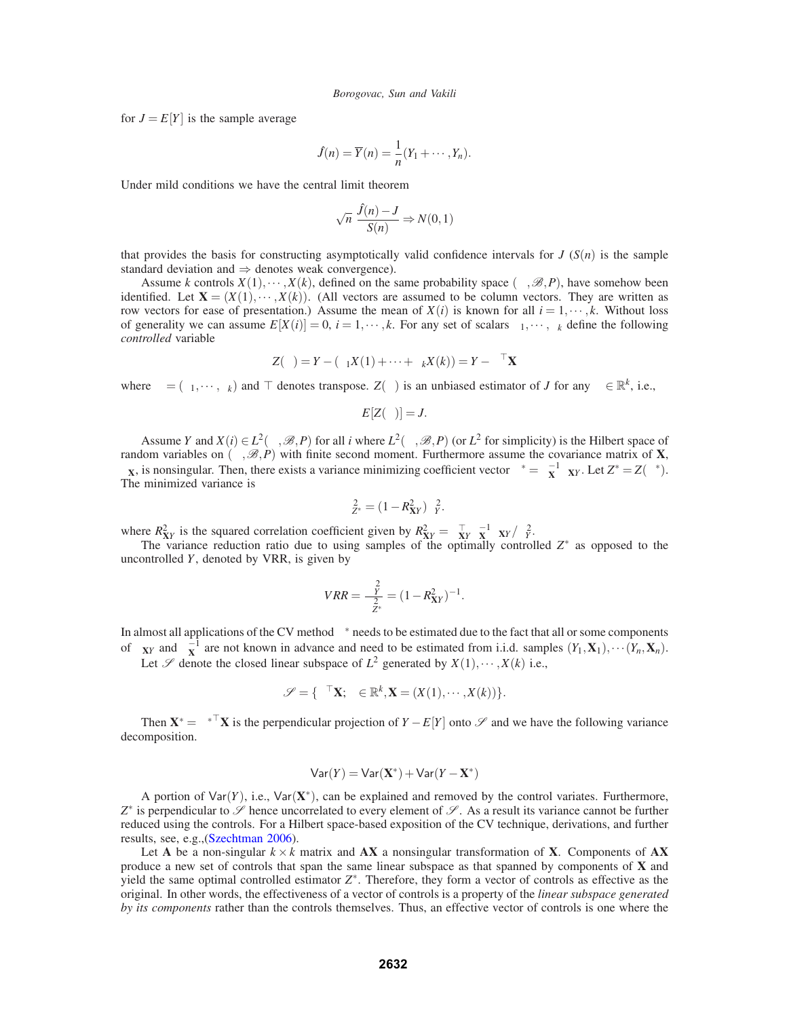for  $J = E[Y]$  is the sample average

$$
\hat{J}(n) = \overline{Y}(n) = \frac{1}{n}(Y_1 + \cdots, Y_n).
$$

Under mild conditions we have the central limit theorem

$$
\sqrt{n} \frac{\hat{J}(n) - J}{S(n)} \Rightarrow N(0, 1)
$$

that provides the basis for constructing asymptotically valid confidence intervals for  $J(S(n))$  is the sample standard deviation and  $\Rightarrow$  denotes weak convergence).

Assume *k* controls  $X(1), \dots, X(k)$ , defined on the same probability space  $(\Omega, \mathcal{B}, P)$ , have somehow been identified. Let  $X = (X(1), \dots, X(k))$ . (All vectors are assumed to be column vectors. They are written as row vectors for ease of presentation.) Assume the mean of  $X(i)$  is known for all  $i = 1, \dots, k$ . Without loss of generality we can assume  $E[X(i)] = 0$ ,  $i = 1, \dots, k$ . For any set of scalars  $\beta_1, \dots, \beta_k$  define the following *controlled* variable

$$
Z(\beta) = Y - (\beta_1 X(1) + \cdots + \beta_k X(k)) = Y - \beta^\top \mathbf{X}
$$

where  $\beta = (\beta_1, \dots, \beta_k)$  and  $\top$  denotes transpose.  $Z(\beta)$  is an unbiased estimator of *J* for any  $\beta \in \mathbb{R}^k$ , i.e.,

$$
E[Z(\beta)] = J.
$$

Assume *Y* and  $X(i) \in L^2(\Omega, \mathcal{B}, P)$  for all *i* where  $L^2(\Omega, \mathcal{B}, P)$  (or  $L^2$  for simplicity) is the Hilbert space of random variables on  $(\Omega, \mathcal{B}, P)$  with finite second moment. Furthermore assume the covariance matrix of **X**,  $\Sigma$ **X**, is nonsingular. Then, there exists a variance minimizing coefficient vector  $\beta^* = \Sigma_X^{-1} \Sigma_{XY}$ . Let  $Z^* = Z(\beta^*)$ . The minimized variance is

$$
\sigma_{Z^*}^2 = (1 - R_{XY}^2) \sigma_Y^2.
$$

where  $R_{XY}^2$  is the squared correlation coefficient given by  $R_{XY}^2 = \sum_{XY}^T \sum_{XY} \frac{1}{2X} \sum_{YY} \frac{1}{\sigma_Y^2}$ .

The variance reduction ratio due to using samples of the optimally controlled *Z*∗ as opposed to the uncontrolled *Y*, denoted by VRR, is given by

$$
VRR = \frac{\sigma_Y^2}{\sigma_{Z^*}^2} = (1 - R_{XY}^2)^{-1}.
$$

In almost all applications of the CV method  $\beta^*$  needs to be estimated due to the fact that all or some components of  $\Sigma_{XY}$  and  $\Sigma_X^{-1}$  are not known in advance and need to be estimated from i.i.d. samples  $(Y_1, \mathbf{X}_1), \cdots (Y_n, \mathbf{X}_n)$ .

Let  $\mathscr S$  denote the closed linear subspace of  $L^2$  generated by  $X(1), \dots, X(k)$  i.e.,

$$
\mathscr{S} = \{ \boldsymbol{\beta}^\top \mathbf{X}; \boldsymbol{\beta} \in \mathbb{R}^k, \mathbf{X} = (X(1), \cdots, X(k)) \}.
$$

Then  $X^* = \beta^{*T} X$  is the perpendicular projection of  $Y - E[Y]$  onto  $\mathscr S$  and we have the following variance decomposition.

$$
\mathsf{Var}(Y) = \mathsf{Var}(\mathbf{X}^*) + \mathsf{Var}(Y - \mathbf{X}^*)
$$

A portion of Var(*Y*), i.e., Var(**X**∗), can be explained and removed by the control variates. Furthermore,  $Z^*$  is perpendicular to  $\mathscr S$  hence uncorrelated to every element of  $\mathscr S$ . As a result its variance cannot be further reduced using the controls. For a Hilbert space-based exposition of the CV technique, derivations, and further results, see, e.g.,(Szechtman 2006).

Let **A** be a non-singular  $k \times k$  matrix and **AX** a nonsingular transformation of **X**. Components of **AX** produce a new set of controls that span the same linear subspace as that spanned by components of **X** and yield the same optimal controlled estimator *Z*∗. Therefore, they form a vector of controls as effective as the original. In other words, the effectiveness of a vector of controls is a property of the *linear subspace generated by its components* rather than the controls themselves. Thus, an effective vector of controls is one where the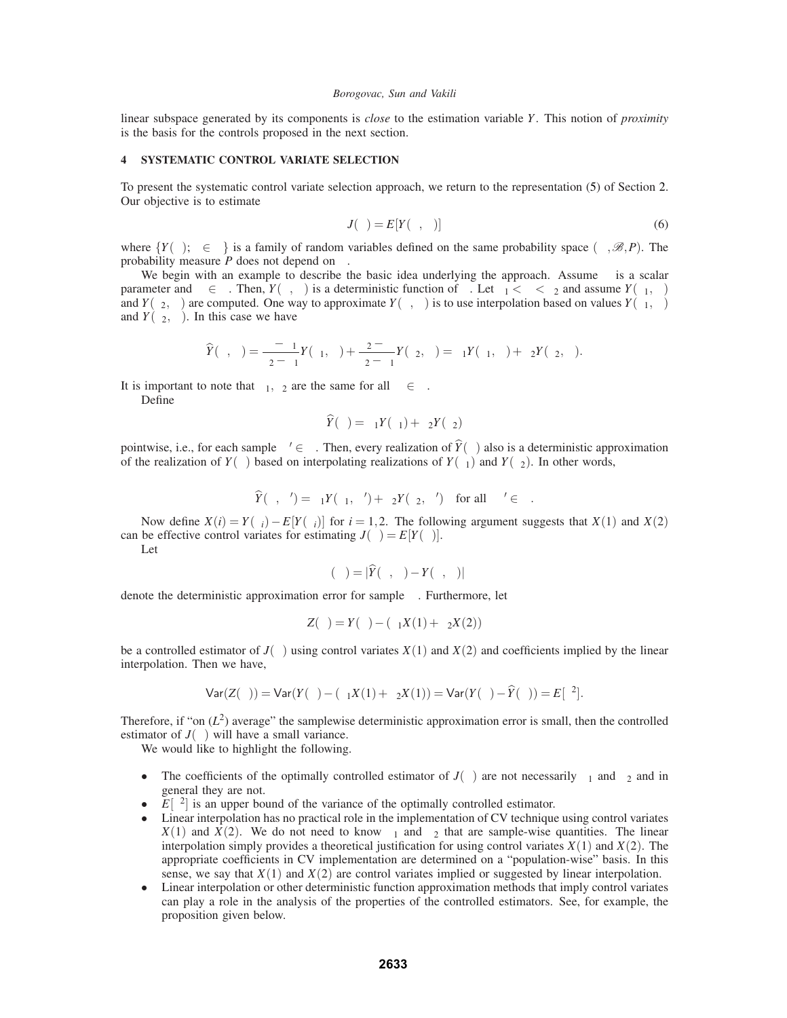linear subspace generated by its components is *close* to the estimation variable *Y*. This notion of *proximity* is the basis for the controls proposed in the next section.

## **4 SYSTEMATIC CONTROL VARIATE SELECTION**

To present the systematic control variate selection approach, we return to the representation (5) of Section 2. Our objective is to estimate

$$
J(\theta) = E[Y(\theta, \omega)]\tag{6}
$$

where  $\{Y(\theta); \theta \in \Theta\}$  is a family of random variables defined on the same probability space  $(\Omega, \mathcal{B}, P)$ . The probability measure *P* does not depend on  $\theta$ .

We begin with an example to describe the basic idea underlying the approach. Assume  $\theta$  is a scalar parameter and  $\omega \in \Omega$ . Then,  $Y(\theta, \omega)$  is a deterministic function of  $\theta$ . Let  $\theta_1 < \theta < \theta_2$  and assume  $Y(\theta_1, \omega)$ and *Y*( $\theta_2, \omega$ ) are computed. One way to approximate *Y*( $\theta, \omega$ ) is to use interpolation based on values *Y*( $\theta_1, \omega$ ) and  $Y(\theta_2, \omega)$ . In this case we have

$$
\widehat{Y}(\theta,\omega)=\frac{\theta-\theta_1}{\theta_2-\theta_1}Y(\theta_1,\omega)+\frac{\theta_2-\theta}{\theta_2-\theta_1}Y(\theta_2,\omega)=\beta_1Y(\theta_1,\omega)+\beta_2Y(\theta_2,\omega).
$$

It is important to note that  $\beta_1, \beta_2$  are the same for all  $\omega \in \Omega$ .

Define

$$
\widehat{Y}(\theta) = \beta_1 Y(\theta_1) + \beta_2 Y(\theta_2)
$$

pointwise, i.e., for each sample  $\omega' \in \Omega$ . Then, every realization of  $\hat{Y}(\theta)$  also is a deterministic approximation of the realization of  $Y(\theta)$  based on interpolating realizations of  $Y(\theta_1)$  and  $Y(\theta_2)$ . In other words,

$$
\widehat{Y}(\theta,\omega') = \beta_1 Y(\theta_1,\omega') + \beta_2 Y(\theta_2,\omega') \quad \text{for all} \quad \omega' \in \Omega.
$$

Now define  $X(i) = Y(\theta_i) - E[Y(\theta_i)]$  for  $i = 1, 2$ . The following argument suggests that  $X(1)$  and  $X(2)$ can be effective control variates for estimating  $J(\theta) = E[Y(\theta)].$ 

Let

$$
\varepsilon(\omega) = |\widehat{Y}(\theta, \omega) - Y(\theta, \omega)|
$$

denote the deterministic approximation error for sample  $\omega$ . Furthermore, let

$$
Z(\theta) = Y(\theta) - (\beta_1 X(1) + \beta_2 X(2))
$$

be a controlled estimator of  $J(\theta)$  using control variates  $X(1)$  and  $X(2)$  and coefficients implied by the linear interpolation. Then we have,

$$
\text{Var}(Z(\theta)) = \text{Var}(Y(\theta) - (\beta_1 X(1) + \beta_2 X(1)) = \text{Var}(Y(\theta) - \widehat{Y}(\theta)) = E[\varepsilon^2].
$$

Therefore, if "on  $(L^2)$  average" the samplewise deterministic approximation error is small, then the controlled estimator of  $J(\theta)$  will have a small variance.

We would like to highlight the following.

- The coefficients of the optimally controlled estimator of  $J(\theta)$  are not necessarily  $\beta_1$  and  $\beta_2$  and in general they are not.
- $E[\varepsilon^2]$  is an upper bound of the variance of the optimally controlled estimator.<br>• Linear interpolation has no practical role in the implementation of CV technique
- Linear interpolation has no practical role in the implementation of CV technique using control variates  $X(1)$  and  $X(2)$ . We do not need to know  $\beta_1$  and  $\beta_2$  that are sample-wise quantities. The linear interpolation simply provides a theoretical justification for using control variates *X*(1) and *X*(2). The appropriate coefficients in CV implementation are determined on a "population-wise" basis. In this sense, we say that  $X(1)$  and  $X(2)$  are control variates implied or suggested by linear interpolation.
- Linear interpolation or other deterministic function approximation methods that imply control variates can play a role in the analysis of the properties of the controlled estimators. See, for example, the proposition given below.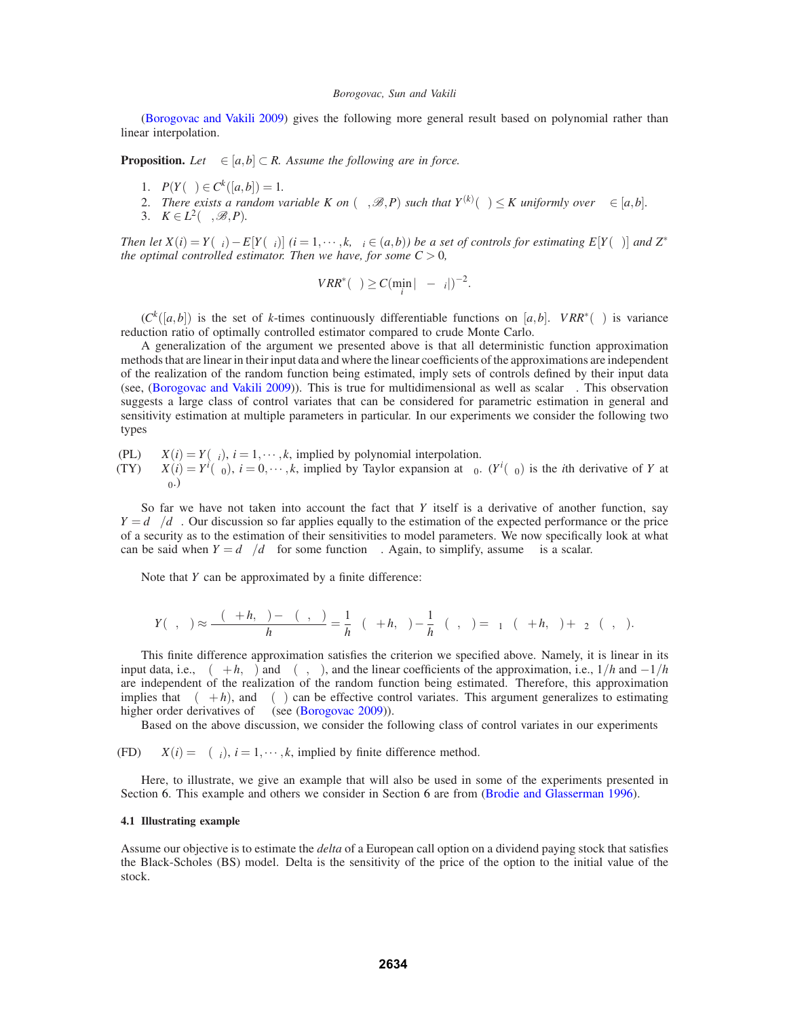(Borogovac and Vakili 2009) gives the following more general result based on polynomial rather than linear interpolation.

**Proposition.** *Let*  $\theta \in [a,b] \subset R$ . Assume the following are in force.

- 1.  $P(Y(\theta) \in C^k([a,b]) = 1.$
- 2. *There exists a random variable K on*  $(\Omega, \mathcal{B}, P)$  *such that*  $Y^{(k)}(\theta) \leq K$  *uniformly over*  $\theta \in [a, b]$ *.*
- 3.  $K \in L^2(\Omega, \mathcal{B}, P)$ .

*Then let*  $X(i) = Y(\theta_i) - E[Y(\theta_i)]$   $(i = 1, \dots, k, \theta_i \in (a, b))$  be a set of controls for estimating  $E[Y(\theta)]$  and  $Z^*$ *the optimal controlled estimator. Then we have, for some*  $C > 0$ *,* 

$$
VRR^*(\theta) \geq C(\min_i |\theta - \theta_i|)^{-2}.
$$

 $(C^k([a,b])$  is the set of *k*-times continuously differentiable functions on [*a*,*b*]. *VRR*<sup>∗</sup>( $\theta$ ) is variance reduction ratio of optimally controlled estimator compared to crude Monte Carlo.

A generalization of the argument we presented above is that all deterministic function approximation methods that are linear in their input data and where the linear coefficients of the approximations are independent of the realization of the random function being estimated, imply sets of controls defined by their input data (see, (Borogovac and Vakili 2009)). This is true for multidimensional as well as scalar  $\theta$ . This observation suggests a large class of control variates that can be considered for parametric estimation in general and sensitivity estimation at multiple parameters in particular. In our experiments we consider the following two types

(PL)  $X(i) = Y(\theta_i)$ ,  $i = 1, \dots, k$ , implied by polynomial interpolation.<br>(TY)  $X(i) = Y'(\theta_0)$ ,  $i = 0, \dots, k$ , implied by Taylor expansion at  $\theta_0$ .

(TY)  $X(i) = Y^{i}(\theta_{0}), i = 0, \dots, k$ , implied by Taylor expansion at  $\theta_{0}$ . ( $Y^{i}(\theta_{0})$  is the *i*th derivative of *Y* at  $\theta_{0}$ .)

So far we have not taken into account the fact that *Y* itself is a derivative of another function, say  $Y = d\Phi/d\theta$ . Our discussion so far applies equally to the estimation of the expected performance or the price of a security as to the estimation of their sensitivities to model parameters. We now specifically look at what can be said when  $Y = d\Phi/d\theta$  for some function  $\Phi$ . Again, to simplify, assume  $\theta$  is a scalar.

Note that *Y* can be approximated by a finite difference:

$$
Y(\theta,\omega)\approx \frac{\Phi(\theta+h,\omega)-\Phi(\theta,\omega)}{h}=\frac{1}{h}\Phi(\theta+h,\omega)-\frac{1}{h}\Phi(\theta,\omega)=\beta_1\Phi(\theta+h,\omega)+\beta_2\Phi(\theta,\omega).
$$

This finite difference approximation satisfies the criterion we specified above. Namely, it is linear in its input data, i.e.,  $\Phi(\theta + h, \omega)$  and  $\Phi(\theta, \omega)$ , and the linear coefficients of the approximation, i.e.,  $1/h$  and  $-1/h$ are independent of the realization of the random function being estimated. Therefore, this approximation implies that  $\Phi(\theta + h)$ , and  $\Phi(\theta)$  can be effective control variates. This argument generalizes to estimating higher order derivatives of  $\Phi$  (see (Borogovac 2009)).

Based on the above discussion, we consider the following class of control variates in our experiments

(FD)  $X(i) = \Phi(\theta_i)$ ,  $i = 1, \dots, k$ , implied by finite difference method.

Here, to illustrate, we give an example that will also be used in some of the experiments presented in Section 6. This example and others we consider in Section 6 are from (Brodie and Glasserman 1996).

# **4.1 Illustrating example**

Assume our objective is to estimate the *delta* of a European call option on a dividend paying stock that satisfies the Black-Scholes (BS) model. Delta is the sensitivity of the price of the option to the initial value of the stock.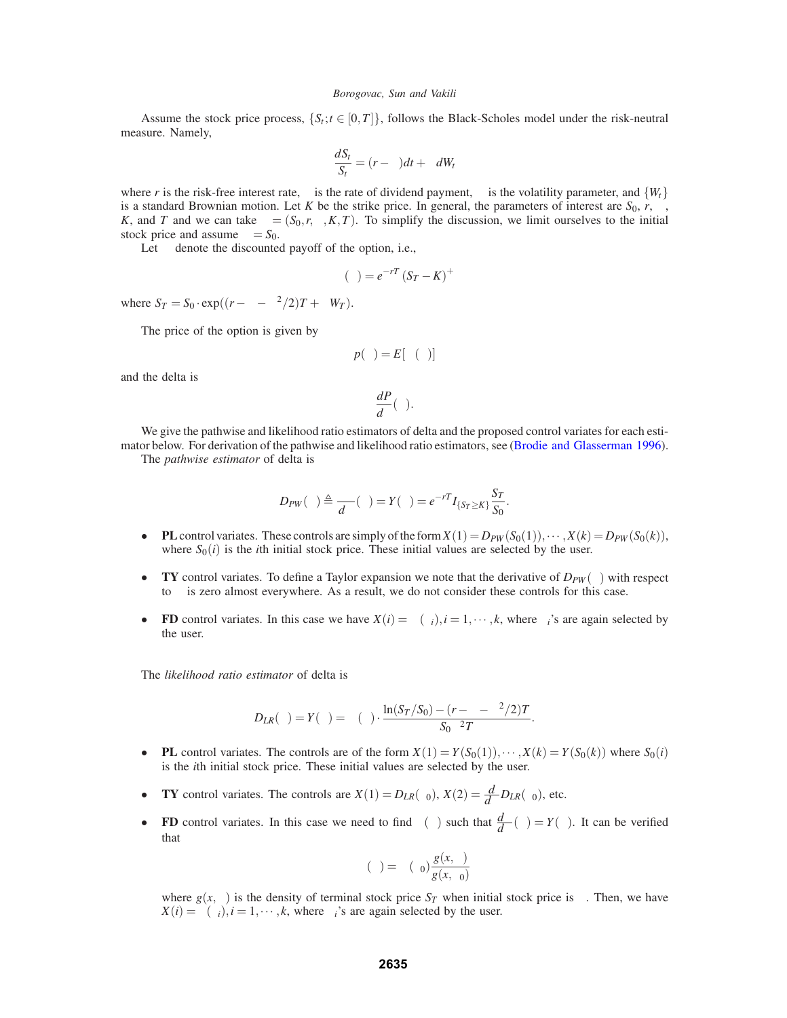Assume the stock price process,  $\{S_t; t \in [0,T]\}$ , follows the Black-Scholes model under the risk-neutral measure. Namely,

$$
\frac{dS_t}{S_t} = (r - \delta)dt + \sigma dW_t
$$

where *r* is the risk-free interest rate,  $\delta$  is the rate of dividend payment,  $\sigma$  is the volatility parameter, and  $\{W_t\}$ is a standard Brownian motion. Let *K* be the strike price. In general, the parameters of interest are  $S_0$ ,  $r$ ,  $\sigma$ , *K*, and *T* and we can take  $\theta = (S_0, r, \sigma, K, T)$ . To simplify the discussion, we limit ourselves to the initial stock price and assume  $\theta = S_0$ .

Let  $\Phi$  denote the discounted payoff of the option, i.e.,

$$
\Phi(\theta) = e^{-rT} (S_T - K)^+
$$

where  $S_T = S_0 \cdot \exp((r - \delta - \sigma^2/2)T + \sigma W_T)$ .

The price of the option is given by

$$
p(\theta) = E[\Phi(\theta)]
$$

and the delta is

$$
\frac{dP}{d\theta}(\theta).
$$

We give the pathwise and likelihood ratio estimators of delta and the proposed control variates for each estimator below. For derivation of the pathwise and likelihood ratio estimators, see (Brodie and Glasserman 1996). The *pathwise* estimator of delta is

$$
D_{PW}(\theta) \triangleq \frac{\partial \Phi}{d\theta}(\theta) = Y(\theta) = e^{-rT} I_{\{S_T \geq K\}} \frac{S_T}{S_0}.
$$

- **PL** control variates. These controls are simply of the form  $X(1) = D_{PW}(S_0(1)), \cdots, X(k) = D_{PW}(S_0(k)),$ where  $S_0(i)$  is the *i*th initial stock price. These initial values are selected by the user.
- **TY** control variates. To define a Taylor expansion we note that the derivative of  $D_{PW}(\theta)$  with respect to  $\theta$  is zero almost everywhere. As a result, we do not consider these controls for this case.
- **FD** control variates. In this case we have  $X(i) = \Phi(\theta_i), i = 1, \dots, k$ , where  $\theta_i$ 's are again selected by the user.

The *likelihood ratio estimator* of delta is

$$
D_{LR}(\theta) = Y(\theta) = \Phi(\theta) \cdot \frac{\ln(S_T/S_0) - (r - \delta - \sigma^2/2)T}{S_0 \sigma^2 T}.
$$

- **PL** control variates. The controls are of the form  $X(1) = Y(S_0(1)), \dots, X(k) = Y(S_0(k))$  where  $S_0(i)$ is the *i*th initial stock price. These initial values are selected by the user.
- **• TY** control variates. The controls are  $X(1) = D_{LR}(\theta_0)$ ,  $X(2) = \frac{d}{d\theta}D_{LR}(\theta_0)$ , etc.
- **FD** control variates. In this case we need to find  $\Upsilon(\theta)$  such that  $\frac{d\Upsilon}{d\theta}(\theta) = Y(\theta)$ . It can be verified that

$$
\Upsilon(\theta) = \Phi(\theta_0) \frac{g(x, \theta)}{g(x, \theta_0)}
$$

where  $g(x, \theta)$  is the density of terminal stock price  $S_T$  when initial stock price is  $\theta$ . Then, we have  $X(i) = \Upsilon(\theta_i), i = 1, \dots, k$ , where  $\theta_i$ 's are again selected by the user.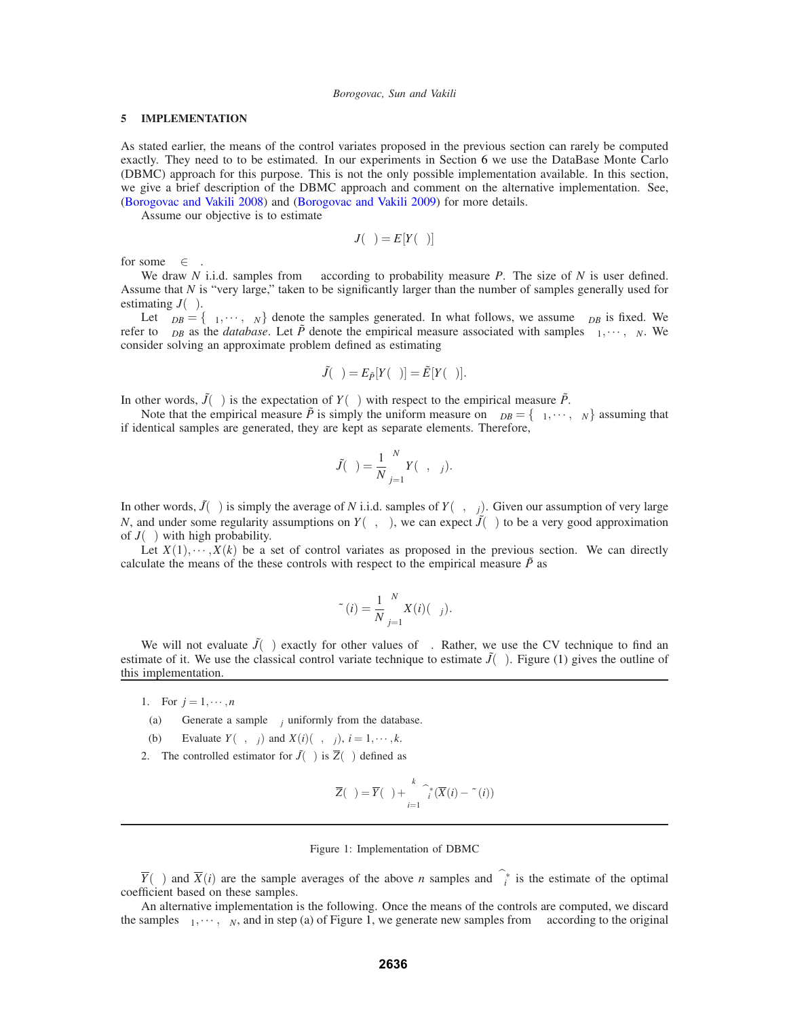### **5 IMPLEMENTATION**

As stated earlier, the means of the control variates proposed in the previous section can rarely be computed exactly. They need to to be estimated. In our experiments in Section 6 we use the DataBase Monte Carlo (DBMC) approach for this purpose. This is not the only possible implementation available. In this section, we give a brief description of the DBMC approach and comment on the alternative implementation. See, (Borogovac and Vakili 2008) and (Borogovac and Vakili 2009) for more details.

Assume our objective is to estimate

$$
J(\theta) = E[Y(\theta)]
$$

for some  $\theta \in \Theta$ .

We draw *N* i.i.d. samples from  $\Omega$  according to probability measure *P*. The size of *N* is user defined. Assume that *N* is "very large," taken to be significantly larger than the number of samples generally used for estimating  $J(\theta)$ .

Let  $\Omega_{DB} = {\omega_1, \dots, \omega_N}$  denote the samples generated. In what follows, we assume  $\Omega_{DB}$  is fixed. We refer to  $\Omega_{DB}$  as the *database*. Let  $\tilde{P}$  denote the empirical measure associated with samples  $\omega_1, \dots, \omega_N$ . We consider solving an approximate problem defined as estimating

$$
\tilde{J}(\theta) = E_{\tilde{P}}[Y(\theta)] = \tilde{E}[Y(\theta)].
$$

In other words,  $\tilde{J}(\theta)$  is the expectation of  $Y(\theta)$  with respect to the empirical measure  $\tilde{P}$ .

Note that the empirical measure  $\tilde{P}$  is simply the uniform measure on  $\Omega_{DB} = \{\omega_1, \dots, \omega_N\}$  assuming that if identical samples are generated, they are kept as separate elements. Therefore,

$$
\tilde{J}(\theta) = \frac{1}{N} \sum_{j=1}^{N} Y(\theta, \omega_j).
$$

In other words,  $\tilde{J}(\theta)$  is simply the average of *N* i.i.d. samples of  $Y(\theta, \omega_i)$ . Given our assumption of very large *N*, and under some regularity assumptions on  $Y(\theta, \omega)$ , we can expect  $\tilde{J}(\theta)$  to be a very good approximation of  $J(\theta)$  with high probability.

Let  $X(1), \dots, X(k)$  be a set of control variates as proposed in the previous section. We can directly calculate the means of the these controls with respect to the empirical measure  $\tilde{P}$  as

$$
\tilde{\mu}(i) = \frac{1}{N} \sum_{j=1}^{N} X(i)(\omega_j).
$$

We will not evaluate  $\tilde{J}(\theta)$  exactly for other values of  $\theta$ . Rather, we use the CV technique to find an estimate of it. We use the classical control variate technique to estimate  $\tilde{J}(\theta)$ . Figure (1) gives the outline of this implementation.

- 1. For  $j = 1, \dots, n$
- (a) Generate a sample  $\omega_i$  uniformly from the database.
- (b) Evaluate  $Y(\theta, \omega_i)$  and  $X(i)(\theta, \omega_i)$ ,  $i = 1, \dots, k$ .
- 2. The controlled estimator for  $\tilde{J}(\theta)$  is  $\overline{Z}(\theta)$  defined as

$$
\overline{Z}(\theta) = \overline{Y}(\theta) + \sum_{i=1}^{k} \widehat{\beta}_{i}^{*}(\overline{X}(i) - \tilde{\mu}(i))
$$

### Figure 1: Implementation of DBMC

 $\overline{Y}(\theta)$  and  $\overline{X}(i)$  are the sample averages of the above *n* samples and  $\beta_i^*$  is the estimate of the optimal coefficient based on these samples.

An alternative implementation is the following. Once the means of the controls are computed, we discard the samples  $\omega_1, \dots, \omega_N$ , and in step (a) of Figure 1, we generate new samples from  $\Omega$  according to the original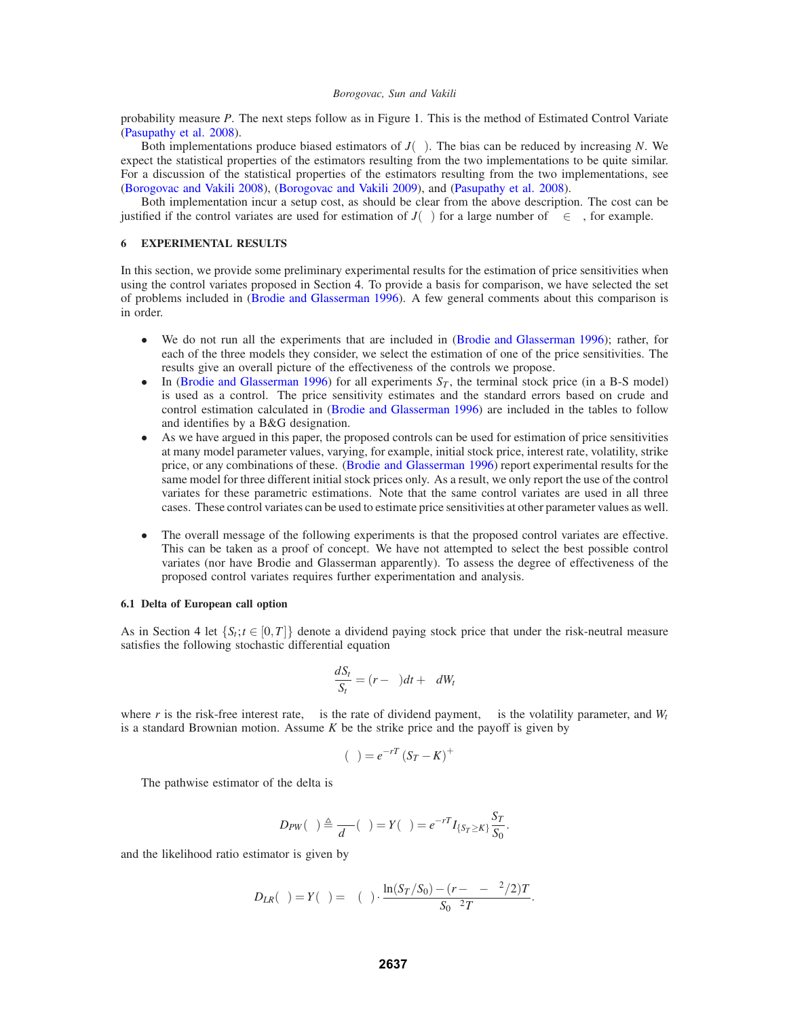probability measure *P*. The next steps follow as in Figure 1. This is the method of Estimated Control Variate (Pasupathy et al. 2008).

Both implementations produce biased estimators of  $J(\theta)$ . The bias can be reduced by increasing *N*. We expect the statistical properties of the estimators resulting from the two implementations to be quite similar. For a discussion of the statistical properties of the estimators resulting from the two implementations, see (Borogovac and Vakili 2008), (Borogovac and Vakili 2009), and (Pasupathy et al. 2008).

Both implementation incur a setup cost, as should be clear from the above description. The cost can be justified if the control variates are used for estimation of  $J(\theta)$  for a large number of  $\theta \in \Theta$ , for example.

## **6 EXPERIMENTAL RESULTS**

In this section, we provide some preliminary experimental results for the estimation of price sensitivities when using the control variates proposed in Section 4. To provide a basis for comparison, we have selected the set of problems included in (Brodie and Glasserman 1996). A few general comments about this comparison is in order.

- We do not run all the experiments that are included in (Brodie and Glasserman 1996); rather, for each of the three models they consider, we select the estimation of one of the price sensitivities. The results give an overall picture of the effectiveness of the controls we propose.
- In (Brodie and Glasserman 1996) for all experiments  $S_T$ , the terminal stock price (in a B-S model) is used as a control. The price sensitivity estimates and the standard errors based on crude and control estimation calculated in (Brodie and Glasserman 1996) are included in the tables to follow and identifies by a B&G designation.
- As we have argued in this paper, the proposed controls can be used for estimation of price sensitivities at many model parameter values, varying, for example, initial stock price, interest rate, volatility, strike price, or any combinations of these. (Brodie and Glasserman 1996) report experimental results for the same model for three different initial stock prices only. As a result, we only report the use of the control variates for these parametric estimations. Note that the same control variates are used in all three cases. These control variates can be used to estimate price sensitivities at other parameter values as well.
- The overall message of the following experiments is that the proposed control variates are effective. This can be taken as a proof of concept. We have not attempted to select the best possible control variates (nor have Brodie and Glasserman apparently). To assess the degree of effectiveness of the proposed control variates requires further experimentation and analysis.

### **6.1 Delta of European call option**

As in Section 4 let  $\{S_t; t \in [0,T]\}$  denote a dividend paying stock price that under the risk-neutral measure satisfies the following stochastic differential equation

$$
\frac{dS_t}{S_t} = (r - \delta)dt + \sigma dW_t
$$

where *r* is the risk-free interest rate,  $\delta$  is the rate of dividend payment,  $\sigma$  is the volatility parameter, and  $W_t$ is a standard Brownian motion. Assume *K* be the strike price and the payoff is given by

$$
\Phi(\theta) = e^{-rT} (S_T - K)^+
$$

The pathwise estimator of the delta is

$$
D_{PW}(\theta) \triangleq \frac{\partial \Phi}{d\theta}(\theta) = Y(\theta) = e^{-rT} I_{\{S_T \geq K\}} \frac{S_T}{S_0}.
$$

and the likelihood ratio estimator is given by

$$
D_{LR}(\theta) = Y(\theta) = \Phi(\theta) \cdot \frac{\ln(S_T/S_0) - (r - \delta - \sigma^2/2)T}{S_0 \sigma^2 T}.
$$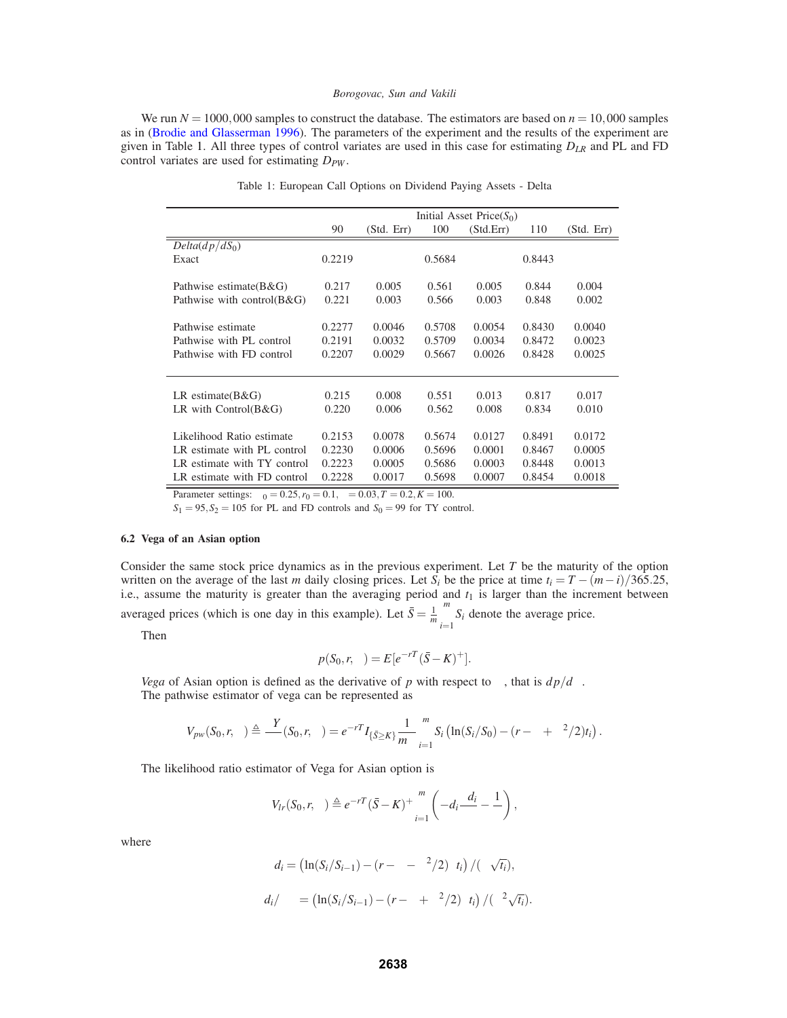We run  $N = 1000,000$  samples to construct the database. The estimators are based on  $n = 10,000$  samples as in (Brodie and Glasserman 1996). The parameters of the experiment and the results of the experiment are given in Table 1. All three types of control variates are used in this case for estimating *DLR* and PL and FD control variates are used for estimating  $D_{PW}$ .

|                                  | Initial Asset Price $(S_0)$ |            |        |           |        |            |  |
|----------------------------------|-----------------------------|------------|--------|-----------|--------|------------|--|
|                                  | 90                          | (Std. Err) | 100    | (Std.Err) | 110    | (Std. Err) |  |
| $Delta(dp/dS_0)$                 |                             |            |        |           |        |            |  |
| Exact                            | 0.2219                      |            | 0.5684 |           | 0.8443 |            |  |
|                                  |                             |            |        |           |        |            |  |
| Pathwise estimate(B&G)           | 0.217                       | 0.005      | 0.561  | 0.005     | 0.844  | 0.004      |  |
| Pathwise with control $(B \& G)$ | 0.221                       | 0.003      | 0.566  | 0.003     | 0.848  | 0.002      |  |
|                                  |                             |            |        |           |        |            |  |
| Pathwise estimate                | 0.2277                      | 0.0046     | 0.5708 | 0.0054    | 0.8430 | 0.0040     |  |
| Pathwise with PL control         | 0.2191                      | 0.0032     | 0.5709 | 0.0034    | 0.8472 | 0.0023     |  |
| Pathwise with FD control         | 0.2207                      | 0.0029     | 0.5667 | 0.0026    | 0.8428 | 0.0025     |  |
|                                  |                             |            |        |           |        |            |  |
|                                  |                             |            |        |           |        |            |  |
| LR estimate( $B&G$ )             | 0.215                       | 0.008      | 0.551  | 0.013     | 0.817  | 0.017      |  |
| LR with $Control(B&G)$           | 0.220                       | 0.006      | 0.562  | 0.008     | 0.834  | 0.010      |  |
|                                  |                             |            |        |           |        |            |  |
| Likelihood Ratio estimate        | 0.2153                      | 0.0078     | 0.5674 | 0.0127    | 0.8491 | 0.0172     |  |
| LR estimate with PL control      | 0.2230                      | 0.0006     | 0.5696 | 0.0001    | 0.8467 | 0.0005     |  |
| LR estimate with TY control      | 0.2223                      | 0.0005     | 0.5686 | 0.0003    | 0.8448 | 0.0013     |  |
| LR estimate with FD control      | 0.2228                      | 0.0017     | 0.5698 | 0.0007    | 0.8454 | 0.0018     |  |

Table 1: European Call Options on Dividend Paying Assets - Delta

Parameter settings:  $\sigma_0 = 0.25$ ,  $r_0 = 0.1$ ,  $\delta = 0.03$ ,  $T = 0.2$ ,  $K = 100$ .

 $S_1 = 95, S_2 = 105$  for PL and FD controls and  $S_0 = 99$  for TY control.

### **6.2 Vega of an Asian option**

Consider the same stock price dynamics as in the previous experiment. Let *T* be the maturity of the option written on the average of the last *m* daily closing prices. Let  $S_i$  be the price at time  $t_i = T - (m-i)/365.25$ , i.e., assume the maturity is greater than the averaging period and  $t_1$  is larger than the increment between averaged prices (which is one day in this example). Let  $\bar{S} = \frac{1}{m}$  $\sum_{i=1}^{m} S_i$  denote the average price.

Then

$$
p(S_0, r, \sigma) = E[e^{-rT}(\bar{S} - K)^+].
$$

*Vega* of Asian option is defined as the derivative of *p* with respect to  $\sigma$ , that is  $dp/d\sigma$ . The pathwise estimator of vega can be represented as

$$
V_{pw}(S_0,r,\sigma) \triangleq \frac{\partial Y}{\partial \sigma}(S_0,r,\sigma) = e^{-rT} I_{\{\bar{S} \geq K\}} \frac{1}{m\sigma} \sum_{i=1}^m S_i \left( \ln(S_i/S_0) - (r - \delta + \sigma^2/2)t_i \right).
$$

The likelihood ratio estimator of Vega for Asian option is

$$
V_{lr}(S_0,r,\sigma) \triangleq e^{-rT}(\bar{S}-K)^+\sum_{i=1}^m \left(-d_i\frac{\partial d_i}{\partial \sigma}-\frac{1}{\sigma}\right),
$$

where

$$
d_i = \left(\ln(S_i/S_{i-1}) - (r - \delta - \sigma^2/2)\Delta t_i\right) / (\sigma\sqrt{t_i}),
$$
  

$$
\partial d_i / \partial \sigma = \left(\ln(S_i/S_{i-1}) - (r - \delta + \sigma^2/2)\Delta t_i\right) / (\sigma^2\sqrt{t_i}).
$$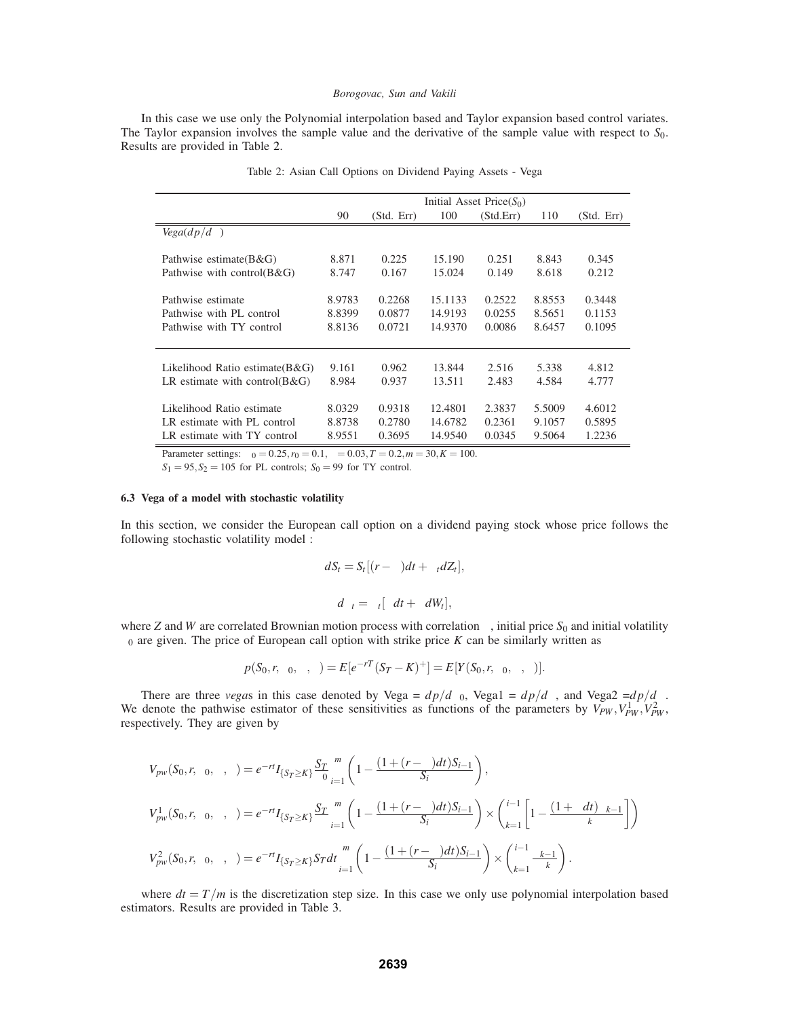In this case we use only the Polynomial interpolation based and Taylor expansion based control variates. The Taylor expansion involves the sample value and the derivative of the sample value with respect to *S*0. Results are provided in Table 2.

|                                      | Initial Asset Price $(S_0)$ |            |         |           |        |            |  |
|--------------------------------------|-----------------------------|------------|---------|-----------|--------|------------|--|
|                                      | 90                          | (Std. Err) | 100     | (Std.Err) | 110    | (Std. Err) |  |
| $Vega(dp/d\sigma)$                   |                             |            |         |           |        |            |  |
| Pathwise estimate $(B \& G)$         | 8.871                       | 0.225      | 15.190  | 0.251     | 8.843  | 0.345      |  |
| Pathwise with control $(B \& G)$     | 8.747                       | 0.167      | 15.024  | 0.149     | 8.618  | 0.212      |  |
| Pathwise estimate                    | 8.9783                      | 0.2268     | 15.1133 | 0.2522    | 8.8553 | 0.3448     |  |
| Pathwise with PL control             | 8.8399                      | 0.0877     | 14.9193 | 0.0255    | 8.5651 | 0.1153     |  |
| Pathwise with TY control             | 8.8136                      | 0.0721     | 14.9370 | 0.0086    | 8.6457 | 0.1095     |  |
| Likelihood Ratio estimate $(B \& G)$ | 9.161                       | 0.962      | 13.844  | 2.516     | 5.338  | 4.812      |  |
| LR estimate with control $(B \& G)$  | 8.984                       | 0.937      | 13.511  | 2.483     | 4.584  | 4.777      |  |
| Likelihood Ratio estimate            | 8.0329                      | 0.9318     | 12.4801 | 2.3837    | 5.5009 | 4.6012     |  |
| LR estimate with PL control          | 8.8738                      | 0.2780     | 14.6782 | 0.2361    | 9.1057 | 0.5895     |  |
| LR estimate with TY control          | 8.9551                      | 0.3695     | 14.9540 | 0.0345    | 9.5064 | 1.2236     |  |

Table 2: Asian Call Options on Dividend Paying Assets - Vega

Parameter settings:  $\sigma_0 = 0.25$ ,  $r_0 = 0.1$ ,  $\delta = 0.03$ ,  $T = 0.2$ ,  $m = 30$ ,  $K = 100$ .

 $S_1 = 95, S_2 = 105$  for PL controls;  $S_0 = 99$  for TY control.

### **6.3 Vega of a model with stochastic volatility**

In this section, we consider the European call option on a dividend paying stock whose price follows the following stochastic volatility model :

$$
dS_t = S_t[(r - \delta)dt + \sigma_t dZ_t],
$$

$$
d\sigma_t = \sigma_t[\mu dt + \xi dW_t],
$$

where *Z* and *W* are correlated Brownian motion process with correlation  $\rho$ , initial price  $S_0$  and initial volatility  $\sigma_0$  are given. The price of European call option with strike price *K* can be similarly written as

$$
p(S_0,r,\sigma_0,\mu,\xi) = E[e^{-rT}(S_T-K)^+] = E[Y(S_0,r,\sigma_0,\mu,\xi)].
$$

There are three *vegas* in this case denoted by Vega =  $dp/d\sigma_0$ , Vega1 =  $dp/d\xi$ , and Vega2 =  $dp/d\mu$ . We denote the pathwise estimator of these sensitivities as functions of the parameters by  $V_{PW}$ ,  $V_{PW}^1$ ,  $V_{PW}^2$ , respectively. They are given by

$$
V_{pw}(S_0, r, \sigma_0, \mu, \xi) = e^{-rt} I_{\{S_T \ge K\}} \frac{S_T}{\sigma_0} \sum_{i=1}^m \left( 1 - \frac{(1 + (r - \delta)dt)S_{i-1}}{S_i} \right),
$$
  
\n
$$
V_{pw}^1(S_0, r, \sigma_0, \mu, \xi) = e^{-rt} I_{\{S_T \ge K\}} \frac{S_T}{\xi} \sum_{i=1}^m \left( 1 - \frac{(1 + (r - \delta)dt)S_{i-1}}{S_i} \right) \times \left( \sum_{k=1}^{i-1} \left[ 1 - \frac{(1 + \mu dt) \sigma_{k-1}}{\sigma_k} \right] \right)
$$
  
\n
$$
V_{pw}^2(S_0, r, \sigma_0, \mu, \xi) = e^{-rt} I_{\{S_T \ge K\}} S_T dt \sum_{i=1}^m \left( 1 - \frac{(1 + (r - \delta)dt)S_{i-1}}{S_i} \right) \times \left( \sum_{k=1}^{i-1} \frac{\sigma_{k-1}}{\sigma_k} \right).
$$

where  $dt = T/m$  is the discretization step size. In this case we only use polynomial interpolation based estimators. Results are provided in Table 3.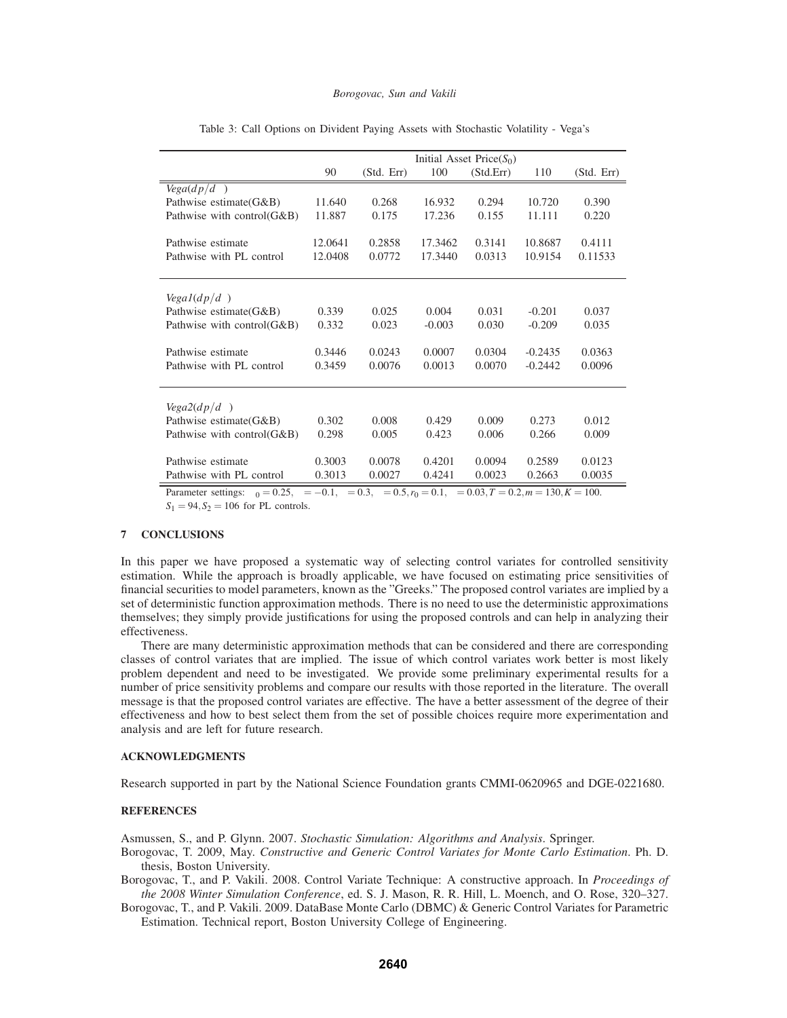|                            | Initial Asset Price $(S_0)$ |            |          |           |           |            |
|----------------------------|-----------------------------|------------|----------|-----------|-----------|------------|
|                            | 90                          | (Std. Err) | 100      | (Std.Err) | 110       | (Std. Err) |
| $Vega(dp/d\sigma)$         |                             |            |          |           |           |            |
| Pathwise estimate (G&B)    | 11.640                      | 0.268      | 16.932   | 0.294     | 10.720    | 0.390      |
| Pathwise with control(G&B) | 11.887                      | 0.175      | 17.236   | 0.155     | 11.111    | 0.220      |
|                            |                             |            |          |           |           |            |
| Pathwise estimate          | 12.0641                     | 0.2858     | 17.3462  | 0.3141    | 10.8687   | 0.4111     |
| Pathwise with PL control   | 12.0408                     | 0.0772     | 17.3440  | 0.0313    | 10.9154   | 0.11533    |
|                            |                             |            |          |           |           |            |
|                            |                             |            |          |           |           |            |
| $Vegal(dp/d\epsilon)$      |                             |            |          |           |           |            |
| Pathwise estimate (G&B)    | 0.339                       | 0.025      | 0.004    | 0.031     | $-0.201$  | 0.037      |
| Pathwise with control(G&B) | 0.332                       | 0.023      | $-0.003$ | 0.030     | $-0.209$  | 0.035      |
|                            |                             |            |          |           |           |            |
| Pathwise estimate          | 0.3446                      | 0.0243     | 0.0007   | 0.0304    | $-0.2435$ | 0.0363     |
| Pathwise with PL control   | 0.3459                      | 0.0076     | 0.0013   | 0.0070    | $-0.2442$ | 0.0096     |
|                            |                             |            |          |           |           |            |
|                            |                             |            |          |           |           |            |
| $Vega2(dp/d\mu)$           |                             |            |          |           |           |            |
| Pathwise estimate (G&B)    | 0.302                       | 0.008      | 0.429    | 0.009     | 0.273     | 0.012      |
| Pathwise with control(G&B) | 0.298                       | 0.005      | 0.423    | 0.006     | 0.266     | 0.009      |
|                            |                             |            |          |           |           |            |
| Pathwise estimate          | 0.3003                      | 0.0078     | 0.4201   | 0.0094    | 0.2589    | 0.0123     |
| Pathwise with PL control   | 0.3013                      | 0.0027     | 0.4241   | 0.0023    | 0.2663    | 0.0035     |

Table 3: Call Options on Divident Paying Assets with Stochastic Volatility - Vega's

Parameter settings:  $\sigma_0 = 0.25$ ,  $\mu = -0.1$ ,  $\xi = 0.3$ ,  $\rho = 0.5$ ,  $r_0 = 0.1$ ,  $\delta = 0.03$ ,  $T = 0.2$ ,  $m = 130$ ,  $K = 100$ .

 $S_1 = 94, S_2 = 106$  for PL controls.

### **7 CONCLUSIONS**

In this paper we have proposed a systematic way of selecting control variates for controlled sensitivity estimation. While the approach is broadly applicable, we have focused on estimating price sensitivities of financial securities to model parameters, known as the "Greeks." The proposed control variates are implied by a set of deterministic function approximation methods. There is no need to use the deterministic approximations themselves; they simply provide justifications for using the proposed controls and can help in analyzing their effectiveness.

There are many deterministic approximation methods that can be considered and there are corresponding classes of control variates that are implied. The issue of which control variates work better is most likely problem dependent and need to be investigated. We provide some preliminary experimental results for a number of price sensitivity problems and compare our results with those reported in the literature. The overall message is that the proposed control variates are effective. The have a better assessment of the degree of their effectiveness and how to best select them from the set of possible choices require more experimentation and analysis and are left for future research.

## **ACKNOWLEDGMENTS**

Research supported in part by the National Science Foundation grants CMMI-0620965 and DGE-0221680.

### **REFERENCES**

Asmussen, S., and P. Glynn. 2007. *Stochastic Simulation: Algorithms and Analysis*. Springer.

Borogovac, T. 2009, May. *Constructive and Generic Control Variates for Monte Carlo Estimation*. Ph. D. thesis, Boston University.

Borogovac, T., and P. Vakili. 2008. Control Variate Technique: A constructive approach. In *Proceedings of the 2008 Winter Simulation Conference*, ed. S. J. Mason, R. R. Hill, L. Moench, and O. Rose, 320–327.

Borogovac, T., and P. Vakili. 2009. DataBase Monte Carlo (DBMC) & Generic Control Variates for Parametric Estimation. Technical report, Boston University College of Engineering.